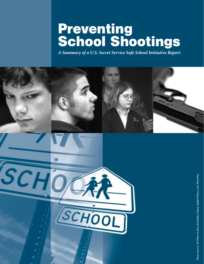# **Preventing** School Shootings

*A Summary of a U.S. Secret Service Safe School Initiative Report*

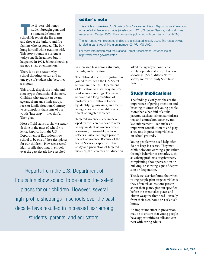the 18-year-old honor<br>student brought guns<br>a homemade bomb to student brought guns and a homemade bomb to school. He set off the fire alarm and shot at the janitors and firefighters who responded. The boy hung himself while awaiting trial. This story sounds as current as today's media headlines, but it happened in 1974. School shootings are not a new phenomenon.

There is no one reason why school shootings occur, and no one type of student who becomes a shooter.

This article dispels the myths and stereotypes about school shooters. Children who attack can be any age and from any ethnic group, race, or family situation. Contrary to assumptions that some of our youth "just snap"—they don't. They plan.

Most official statistics show a steady decline in the rates of school violence. Reports from the U.S. Department of Education show school to be one of the safest places for our children.<sup>1</sup> However, several high-profile shootings in schools over the past decade have resulted

## editor's note

This article summarizes *USSS Safe School Initiative: An Interim Report on the Prevention of Targeted Violence in Schools* (Washington, DC: U.S. Secret Service, National Threat Assessment Center, 2000). The summary is published with permission from NTAC.

The full report, with expanded findings, is anticipated in early 2002. The research was funded in part through NIJ grant number 00–MU–MU–A003.

For more information, visit the National Threat Assessment Center online at http://www.treas.gov/usss/ntac.

in increased fear among students, parents, and educators.

The National Institute of Justice has joined forces with the U.S. Secret Service and the U.S. Department of Education to assess ways to prevent school shootings. The Secret Service has a long tradition of protecting our Nation's leaders by identifying, assessing, and managing persons who might pose a threat of targeted violence.

Targeted violence is a term developed by the Secret Service to refer to any incident of violence where a known (or knowable) attacker selects a particular target prior to the act of violence. Because of the Secret Service's expertise in the study and prevention of targeted violence, the Secretary of Education

Reports from the U.S. Department of Education show school to be one of the safest places for our children. However, several high-profile shootings in schools over the past decade have resulted in increased fear among students, parents, and educators.

asked the agency to conduct a similar operational study of school shootings. (See "Editor's Note," above, and "The Study Specifics," page 13.)

# Study Implications

The findings clearly emphasize the importance of paying attention and listening to America's young people. More than a handful of adults parents, teachers, school administrators and counselors, coaches, and law enforcement—can make an important contribution to and play a key role in preventing violence on school grounds.

Young people who need help often do not keep it a secret. They may exhibit obvious warning signs either through behavior or remarks, such as voicing problems or grievances, complaining about persecution or bullying, or showing signs of depression or desperation.

The Secret Service found that when young people plan targeted violence they often tell at least one person about their plans, give out specifics before the event takes place, and obtain weapons they need—usually from their own home or a relative's home.

An important effort in prevention may be to ensure that young people have opportunities to talk and connect with caring adults.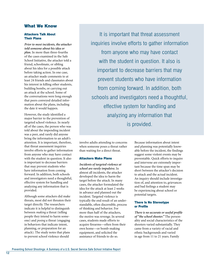# What We Know

#### Attackers Talk About Their Plans

*Prior to most incidents, the attacker told someone about his idea or plan.* In more than three-fourths of the cases examined in the Safe School Initiative, the attacker told a friend, schoolmate, or sibling about his idea for a possible attack before taking action. In one case, an attacker made comments to at least 24 friends and classmates about his interest in killing other students, building bombs, or carrying out an attack at the school. Some of the conversations were long enough that peers conveyed detailed information about the plans, including the date it would happen.

However, the study identified a major barrier to the prevention of targeted school violence. In nearly all of the cases, the person who was told about the impending incident was a peer, and rarely did anyone bring the information to an adult's attention. It is important, therefore, that threat assessment inquiries involve efforts to gather information from anyone who may have contact with the student in question. It also is important to decrease barriers that may prevent students who have information from coming forward. In addition, both schools and investigators need a thoughtful, effective system for handling and analyzing any information that is provided.

Although some attackers did make threats, most did not threaten their target directly. The researchers indicate it is helpful to distinguish between *making* a threat (telling people they intend to harm someone) and *posing* a threat (engaging in behaviors that indicate intent, planning, or preparation for an attack). The study notes that plans to prevent school violence should

It is important that threat assessment inquiries involve efforts to gather information from anyone who may have contact with the student in question. It also is important to decrease barriers that may prevent students who have information from coming forward. In addition, both schools and investigators need a thoughtful, effective system for handling and analyzing any information that is provided.

involve adults attending to concerns when someone poses a threat rather than waiting for a direct threat.

#### Attackers Make Plans

*Incidents of targeted violence at school are rarely impulsive.* In almost all incidents, the attacker developed the idea to harm the target before the attack. In many cases, the attacker formulated the idea for the attack at least 2 weeks in advance and planned out the incident. Targeted violence is typically the end result of an understandable, often discernible, process of thinking and behavior. For more than half of the attackers, the motive was revenge. In several cases, students made efforts to acquire firearms—often from their own home—or bomb-making equipment, and solicited the assistance of friends to do so.

Because information about intent and planning was potentially knowable before the incident, the findings suggest some violent events may be preventable. Quick efforts to inquire and intervene are extremely important because the time span may be short between the attacker's decision to attack and the actual incident. An inquiry should include investigation of, and attention to, grievances and bad feelings a student may be experiencing about school or potential targets.

#### There Is No Stereotype or Profile

*There is no accurate or useful profile of "the school shooter."* The personality and social characteristics of the shooters varied substantially. They came from a variety of racial and ethnic backgrounds and varied in age from 11 to 21 years. Family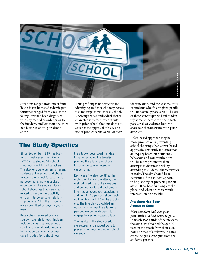

situations ranged from intact families to foster homes. Academic performance ranged from excellent to failing. Few had been diagnosed with any mental disorder prior to the incident, and less than one-third had histories of drug or alcohol abuse.

Thus profiling is not effective for identifying students who may pose a risk for targeted violence at school. Knowing that an individual shares characteristics, features, or traits with prior school shooters does not advance the appraisal of risk. The use of profiles carries a risk of over-

# The Study Specifics

Since September 1999, the National Threat Assessment Center (NTAC) has studied 37 school shootings involving 41 attackers. The attackers were current or recent students at the school and chose to attack the school for a particular purpose, not simply as a site of opportunity. The study excluded school shootings that were clearly related to gang or drug activity or to an interpersonal or relationship dispute. All of the incidents were committed by boys or young men.

Researchers reviewed primary source materials for each incident, including investigative, school, court, and mental health records. Information gathered about each case included facts about how

the attacker developed the idea to harm, selected the target(s), planned the attack, and chose to communicate an intent to cause harm.

Each case file also identified the motivation behind the attack, the method used to acquire weapons, and demographic and background information about each attacker. In addition, NTAC personnel conducted interviews with 10 of the attackers. The interviews provided an opportunity to hear the attacker's perspective on his decision to engage in a school-based attack.

The results of the study overturn stereotypes and suggest ways to prevent shootings and other school violence.

identification, and the vast majority of students who fit any given profile will not actually pose a risk. The use of these stereotypes will fail to identify some students who do, in fact, pose a risk of violence, but who share few characteristics with prior attackers.

A fact-based approach may be more productive in preventing school shootings than a trait-based approach. This study indicates that an inquiry based on a student's behaviors and communications will be more productive than attempts to determine risk by attending to students' characteristics or traits. The aim should be to determine if the student appears to be planning or preparing for an attack. If so, how far along are the plans, and when or where would intervention be possible?

#### Attackers Had Easy Access to Guns

*Most attackers had used guns previously and had access to guns.* In nearly two-thirds of the incidents, the attackers obtained the gun(s) used in the attack from their own home or that of a relative. In some cases, the guns were gifts from the students' parents.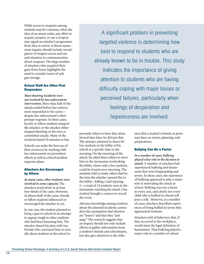While access to weapons among students may be common, when the idea of an attack exists, any effort to acquire, prepare, or use a weapon may signal an attacker's progression from idea to action. A threat assessment inquiry should include investigation of weapon access and use and attention to communication about weapons. The large number of attackers who acquired their guns from home highlights the need to consider issues of safe gun storage.

#### School Staff Are Often First **Responders**

*Most shooting incidents were not resolved by law enforcement intervention.* More than half of the attacks ended before law enforcement responded to the scene despite law enforcement's often prompt response. In these cases, faculty or fellow students stopped the attacker, or the attacker either stopped shooting on his own or committed suicide. Many of the incidents lasted 20 minutes or less.

Schools can make the best use of their resources by working with law enforcement on prevention efforts as well as critical incident response plans.

#### Attackers Are Encouraged by Others

*In many cases, other students were involved in some capacity.* The attackers acted alone in at least two-thirds of the cases. However, in almost half of the cases, friends or fellow students influenced or encouraged the attacker to act.

In one case, the student planned to bring a gun to school in an attempt to appear tough to other students who had been harassing him. The attacker shared his plan with two friends who convinced him to actually shoot students at the school to

A significant problem in preventing targeted violence is determining how best to respond to students who are already known to be in trouble. This study indicates the importance of giving attention to students who are having difficulty coping with major losses or perceived failures, particularly when feelings of desperation and hopelessness are involved.

persuade others to leave him alone. Several days later, he did just that. The attacker schemed to shoot fellow students in the lobby of his school at a specific time in the morning. On the morning of the attack, he asked three others to meet him in the mezzanine overlooking the lobby, where only a few students could be found every morning. The students told so many others that by the time the attacker opened fire in the lobby—killing 2 and injuring 2—a total of 24 students were in the mezzanine watching the attack. One student brought a camera to record the event.

Advance knowledge among students about the planned incidents contradicts the assumption that shooters are "loners" and that they "just snap." The research suggests that an inquiry should not only include efforts to gather information from a student's friends and schoolmates, but also give attention to the influence that a student's friends or peers may have on intent, planning, and preparations.

#### Bullying Can Be a Factor

*In a number of cases, bullying played a key role in the decision to attack.* A number of attackers had experienced bullying and harassment that were longstanding and severe. In those cases, the experience of bullying appeared to play a major role in motivating the attack at school. Bullying was not a factor in every case, and clearly not every child who is bullied in school will pose a risk. However, in a number of cases, attackers described experiences of being bullied in terms that approached torment.

Attackers told of behaviors that, if they occurred in the workplace, would meet the legal definition of harassment. That bullying played a major role in a number of school